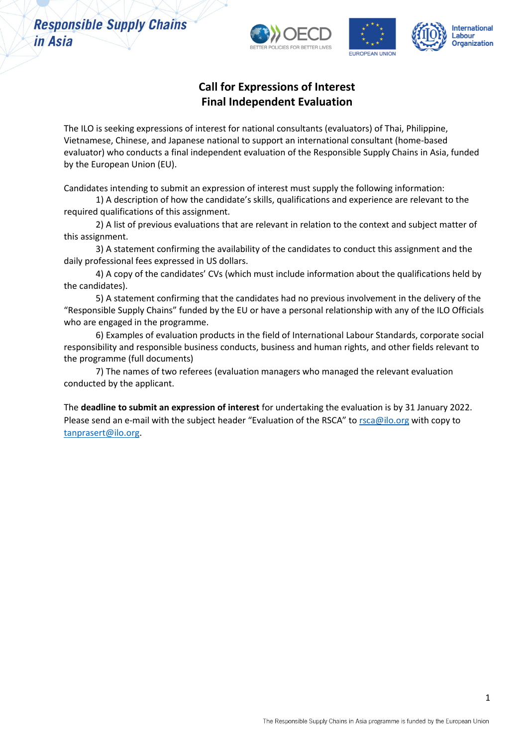

### **Call for Expressions of Interest Final Independent Evaluation**

The ILO is seeking expressions of interest for national consultants (evaluators) of Thai, Philippine, Vietnamese, Chinese, and Japanese national to support an international consultant (home-based evaluator) who conducts a final independent evaluation of the Responsible Supply Chains in Asia, funded by the European Union (EU).

Candidates intending to submit an expression of interest must supply the following information:

1) A description of how the candidate's skills, qualifications and experience are relevant to the required qualifications of this assignment.

2) A list of previous evaluations that are relevant in relation to the context and subject matter of this assignment.

3) A statement confirming the availability of the candidates to conduct this assignment and the daily professional fees expressed in US dollars.

4) A copy of the candidates' CVs (which must include information about the qualifications held by the candidates).

5) A statement confirming that the candidates had no previous involvement in the delivery of the "Responsible Supply Chains" funded by the EU or have a personal relationship with any of the ILO Officials who are engaged in the programme.

6) Examples of evaluation products in the field of International Labour Standards, corporate social responsibility and responsible business conducts, business and human rights, and other fields relevant to the programme (full documents)

7) The names of two referees (evaluation managers who managed the relevant evaluation conducted by the applicant.

The **deadline to submit an expression of interest** for undertaking the evaluation is by 31 January 2022. Please send an e-mail with the subject header "Evaluation of the RSCA" to [rsca@ilo.org](mailto:rsca@ilo.org) with copy to [tanprasert@ilo.org.](mailto:tanprasert@ilo.org)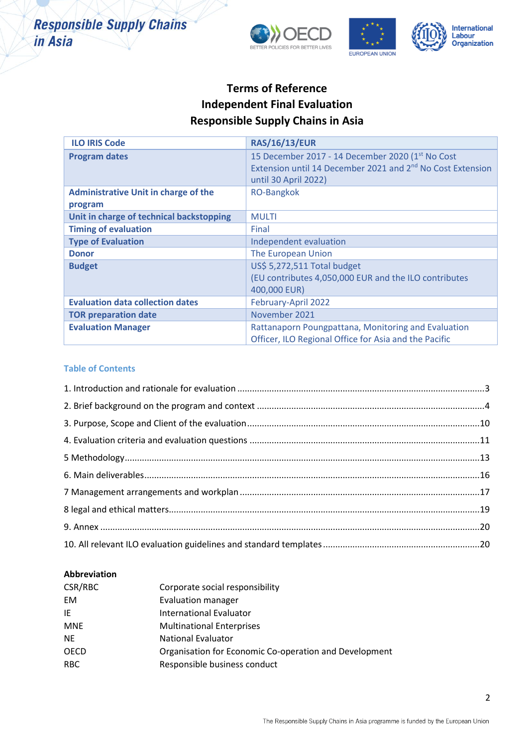

## **Terms of Reference Independent Final Evaluation Responsible Supply Chains in Asia**

| <b>ILO IRIS Code</b>                        | <b>RAS/16/13/EUR</b>                                                   |
|---------------------------------------------|------------------------------------------------------------------------|
| <b>Program dates</b>                        | 15 December 2017 - 14 December 2020 (1st No Cost                       |
|                                             | Extension until 14 December 2021 and 2 <sup>nd</sup> No Cost Extension |
|                                             | until 30 April 2022)                                                   |
| <b>Administrative Unit in charge of the</b> | <b>RO-Bangkok</b>                                                      |
| program                                     |                                                                        |
| Unit in charge of technical backstopping    | <b>MULTI</b>                                                           |
| <b>Timing of evaluation</b>                 | Final                                                                  |
| <b>Type of Evaluation</b>                   | Independent evaluation                                                 |
| <b>Donor</b>                                | The European Union                                                     |
| <b>Budget</b>                               | US\$ 5,272,511 Total budget                                            |
|                                             | (EU contributes 4,050,000 EUR and the ILO contributes                  |
|                                             | 400,000 EUR)                                                           |
| <b>Evaluation data collection dates</b>     | February-April 2022                                                    |
| <b>TOR preparation date</b>                 | November 2021                                                          |
| <b>Evaluation Manager</b>                   | Rattanaporn Poungpattana, Monitoring and Evaluation                    |
|                                             | Officer, ILO Regional Office for Asia and the Pacific                  |

#### **Table of Contents**

### **Abbreviation**

| CSR/RBC     | Corporate social responsibility                        |
|-------------|--------------------------------------------------------|
| <b>EM</b>   | <b>Evaluation manager</b>                              |
| IE          | International Evaluator                                |
| <b>MNE</b>  | <b>Multinational Enterprises</b>                       |
| <b>NE</b>   | <b>National Evaluator</b>                              |
| <b>OECD</b> | Organisation for Economic Co-operation and Development |
| <b>RBC</b>  | Responsible business conduct                           |
|             |                                                        |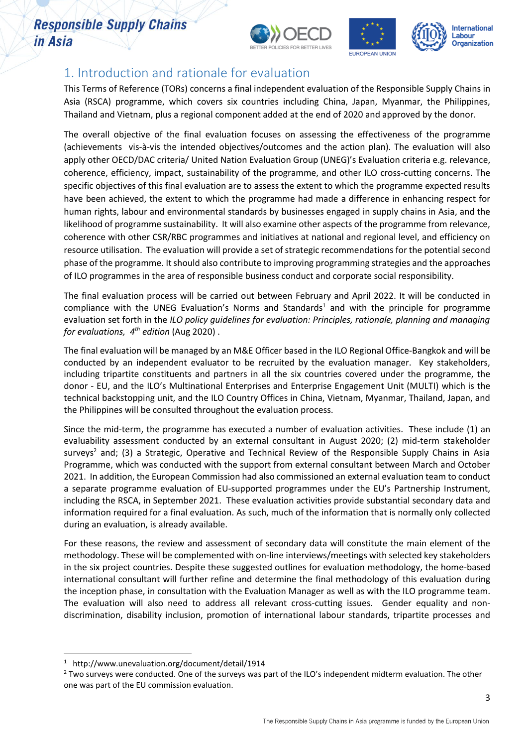





# <span id="page-2-0"></span>1. Introduction and rationale for evaluation

This Terms of Reference (TORs) concerns a final independent evaluation of the Responsible Supply Chains in Asia (RSCA) programme, which covers six countries including China, Japan, Myanmar, the Philippines, Thailand and Vietnam, plus a regional component added at the end of 2020 and approved by the donor.

The overall objective of the final evaluation focuses on assessing the effectiveness of the programme (achievements vis-à-vis the intended objectives/outcomes and the action plan). The evaluation will also apply other OECD/DAC criteria/ United Nation Evaluation Group (UNEG)'s Evaluation criteria e.g. relevance, coherence, efficiency, impact, sustainability of the programme, and other ILO cross-cutting concerns. The specific objectives of this final evaluation are to assess the extent to which the programme expected results have been achieved, the extent to which the programme had made a difference in enhancing respect for human rights, labour and environmental standards by businesses engaged in supply chains in Asia, and the likelihood of programme sustainability. It will also examine other aspects of the programme from relevance, coherence with other CSR/RBC programmes and initiatives at national and regional level, and efficiency on resource utilisation. The evaluation will provide a set of strategic recommendations for the potential second phase of the programme. It should also contribute to improving programming strategies and the approaches of ILO programmes in the area of responsible business conduct and corporate social responsibility.

The final evaluation process will be carried out between February and April 2022. It will be conducted in compliance with the UNEG Evaluation's Norms and Standards<sup>1</sup> and with the principle for programme evaluation set forth in the *ILO policy guidelines for evaluation: Principles, rationale, planning and managing for evaluations, 4 th edition* (Aug 2020) .

The final evaluation will be managed by an M&E Officer based in the ILO Regional Office-Bangkok and will be conducted by an independent evaluator to be recruited by the evaluation manager. Key stakeholders, including tripartite constituents and partners in all the six countries covered under the programme, the donor - EU, and the ILO's Multinational Enterprises and Enterprise Engagement Unit (MULTI) which is the technical backstopping unit, and the ILO Country Offices in China, Vietnam, Myanmar, Thailand, Japan, and the Philippines will be consulted throughout the evaluation process.

Since the mid-term, the programme has executed a number of evaluation activities. These include (1) an evaluability assessment conducted by an external consultant in August 2020; (2) mid-term stakeholder surveys<sup>2</sup> and; (3) a Strategic, Operative and Technical Review of the Responsible Supply Chains in Asia Programme, which was conducted with the support from external consultant between March and October 2021. In addition, the European Commission had also commissioned an external evaluation team to conduct a separate programme evaluation of EU-supported programmes under the EU's Partnership Instrument, including the RSCA, in September 2021. These evaluation activities provide substantial secondary data and information required for a final evaluation. As such, much of the information that is normally only collected during an evaluation, is already available.

For these reasons, the review and assessment of secondary data will constitute the main element of the methodology. These will be complemented with on-line interviews/meetings with selected key stakeholders in the six project countries. Despite these suggested outlines for evaluation methodology, the home-based international consultant will further refine and determine the final methodology of this evaluation during the inception phase, in consultation with the Evaluation Manager as well as with the ILO programme team. The evaluation will also need to address all relevant cross-cutting issues. Gender equality and nondiscrimination, disability inclusion, promotion of international labour standards, tripartite processes and

<sup>1</sup> http://www.unevaluation.org/document/detail/1914

 $2$  Two surveys were conducted. One of the surveys was part of the ILO's independent midterm evaluation. The other one was part of the EU commission evaluation.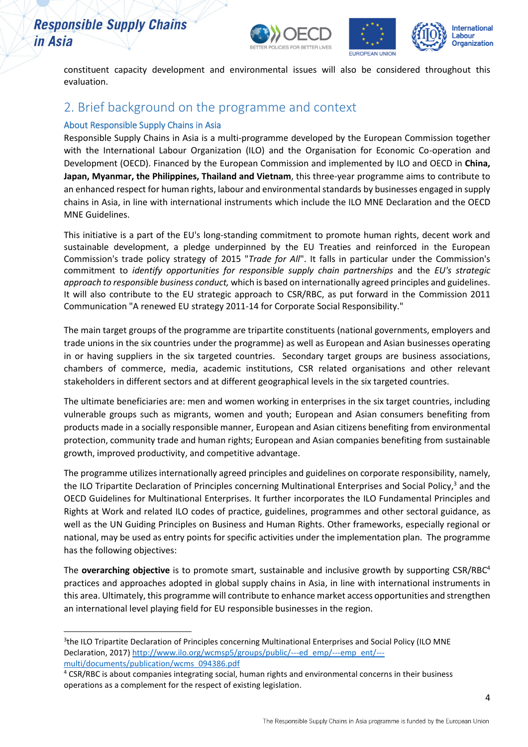

constituent capacity development and environmental issues will also be considered throughout this evaluation.

### <span id="page-3-0"></span>2. Brief background on the programme and context

### About Responsible Supply Chains in Asia

Responsible Supply Chains in Asia is a multi-programme developed by the European Commission together with the International Labour Organization (ILO) and the Organisation for Economic Co-operation and Development (OECD). Financed by the European Commission and implemented by ILO and OECD in **China, Japan, Myanmar, the Philippines, Thailand and Vietnam**, this three-year programme aims to contribute to an enhanced respect for human rights, labour and environmental standards by businesses engaged in supply chains in Asia, in line with international instruments which include the ILO MNE Declaration and the OECD MNE Guidelines.

This initiative is a part of the EU's long-standing commitment to promote human rights, decent work and sustainable development, a pledge underpinned by the EU Treaties and reinforced in the European Commission's trade policy strategy of 2015 "*Trade for All*". It falls in particular under the Commission's commitment to *identify opportunities for responsible supply chain partnerships* and the *EU's strategic approach to responsible business conduct,* which is based on internationally agreed principles and guidelines. It will also contribute to the EU strategic approach to CSR/RBC, as put forward in the Commission 2011 Communication "A renewed EU strategy 2011-14 for Corporate Social Responsibility."

The main target groups of the programme are tripartite constituents (national governments, employers and trade unions in the six countries under the programme) as well as European and Asian businesses operating in or having suppliers in the six targeted countries. Secondary target groups are business associations, chambers of commerce, media, academic institutions, CSR related organisations and other relevant stakeholders in different sectors and at different geographical levels in the six targeted countries.

The ultimate beneficiaries are: men and women working in enterprises in the six target countries, including vulnerable groups such as migrants, women and youth; European and Asian consumers benefiting from products made in a socially responsible manner, European and Asian citizens benefiting from environmental protection, community trade and human rights; European and Asian companies benefiting from sustainable growth, improved productivity, and competitive advantage.

The programme utilizes internationally agreed principles and guidelines on corporate responsibility, namely, the ILO Tripartite Declaration of Principles concerning Multinational Enterprises and Social Policy,<sup>3</sup> and the OECD Guidelines for Multinational Enterprises. It further incorporates the ILO Fundamental Principles and Rights at Work and related ILO codes of practice, guidelines, programmes and other sectoral guidance, as well as the UN Guiding Principles on Business and Human Rights. Other frameworks, especially regional or national, may be used as entry points for specific activities under the implementation plan. The programme has the following objectives:

The **overarching objective** is to promote smart, sustainable and inclusive growth by supporting CSR/RBC<sup>4</sup> practices and approaches adopted in global supply chains in Asia, in line with international instruments in this area. Ultimately, this programme will contribute to enhance market access opportunities and strengthen an international level playing field for EU responsible businesses in the region.

<sup>&</sup>lt;sup>3</sup>the ILO Tripartite Declaration of Principles concerning Multinational Enterprises and Social Policy (ILO MNE Declaration, 2017) [http://www.ilo.org/wcmsp5/groups/public/---ed\\_emp/---emp\\_ent/--](http://www.ilo.org/wcmsp5/groups/public/---ed_emp/---emp_ent/---multi/documents/publication/wcms_094386.pdf) [multi/documents/publication/wcms\\_094386.pdf](http://www.ilo.org/wcmsp5/groups/public/---ed_emp/---emp_ent/---multi/documents/publication/wcms_094386.pdf)

<sup>&</sup>lt;sup>4</sup> CSR/RBC is about companies integrating social, human rights and environmental concerns in their business operations as a complement for the respect of existing legislation.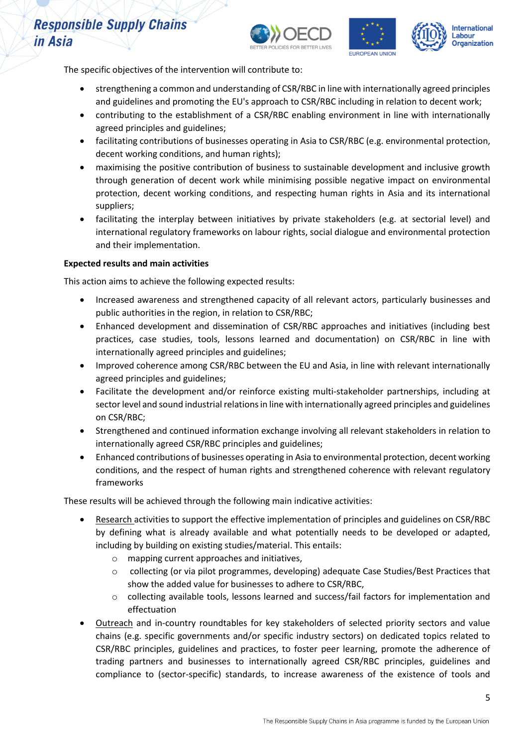



The specific objectives of the intervention will contribute to:

- strengthening a common and understanding of CSR/RBC in line with internationally agreed principles and guidelines and promoting the EU's approach to CSR/RBC including in relation to decent work;
- contributing to the establishment of a CSR/RBC enabling environment in line with internationally agreed principles and guidelines;
- facilitating contributions of businesses operating in Asia to CSR/RBC (e.g. environmental protection, decent working conditions, and human rights);
- maximising the positive contribution of business to sustainable development and inclusive growth through generation of decent work while minimising possible negative impact on environmental protection, decent working conditions, and respecting human rights in Asia and its international suppliers;
- facilitating the interplay between initiatives by private stakeholders (e.g. at sectorial level) and international regulatory frameworks on labour rights, social dialogue and environmental protection and their implementation.

#### **Expected results and main activities**

This action aims to achieve the following expected results:

- Increased awareness and strengthened capacity of all relevant actors, particularly businesses and public authorities in the region, in relation to CSR/RBC;
- Enhanced development and dissemination of CSR/RBC approaches and initiatives (including best practices, case studies, tools, lessons learned and documentation) on CSR/RBC in line with internationally agreed principles and guidelines;
- Improved coherence among CSR/RBC between the EU and Asia, in line with relevant internationally agreed principles and guidelines;
- Facilitate the development and/or reinforce existing multi-stakeholder partnerships, including at sector level and sound industrial relations in line with internationally agreed principles and guidelines on CSR/RBC;
- Strengthened and continued information exchange involving all relevant stakeholders in relation to internationally agreed CSR/RBC principles and guidelines;
- Enhanced contributions of businesses operating in Asia to environmental protection, decent working conditions, and the respect of human rights and strengthened coherence with relevant regulatory frameworks

These results will be achieved through the following main indicative activities:

- Research activities to support the effective implementation of principles and guidelines on CSR/RBC by defining what is already available and what potentially needs to be developed or adapted, including by building on existing studies/material. This entails:
	- o mapping current approaches and initiatives,
	- o collecting (or via pilot programmes, developing) adequate Case Studies/Best Practices that show the added value for businesses to adhere to CSR/RBC,
	- o collecting available tools, lessons learned and success/fail factors for implementation and effectuation
- Outreach and in-country roundtables for key stakeholders of selected priority sectors and value chains (e.g. specific governments and/or specific industry sectors) on dedicated topics related to CSR/RBC principles, guidelines and practices, to foster peer learning, promote the adherence of trading partners and businesses to internationally agreed CSR/RBC principles, guidelines and compliance to (sector-specific) standards, to increase awareness of the existence of tools and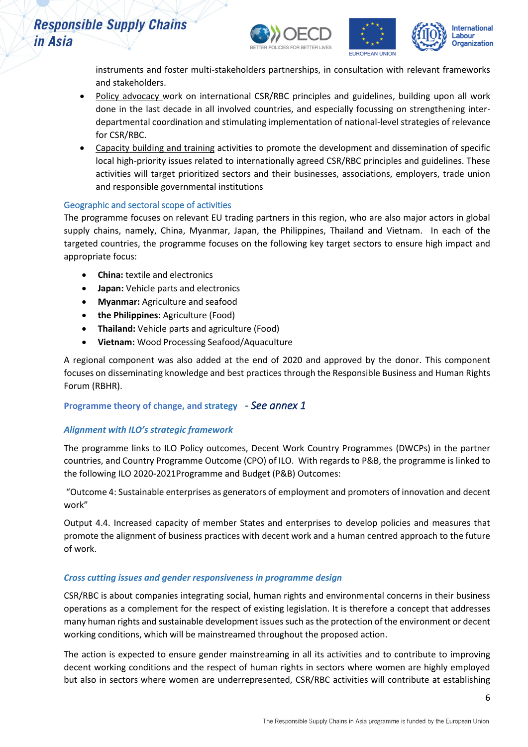





instruments and foster multi-stakeholders partnerships, in consultation with relevant frameworks and stakeholders.

- Policy advocacy work on international CSR/RBC principles and guidelines, building upon all work done in the last decade in all involved countries, and especially focussing on strengthening interdepartmental coordination and stimulating implementation of national-level strategies of relevance for CSR/RBC.
- Capacity building and training activities to promote the development and dissemination of specific local high-priority issues related to internationally agreed CSR/RBC principles and guidelines. These activities will target prioritized sectors and their businesses, associations, employers, trade union and responsible governmental institutions

### Geographic and sectoral scope of activities

The programme focuses on relevant EU trading partners in this region, who are also major actors in global supply chains, namely, China, Myanmar, Japan, the Philippines, Thailand and Vietnam. In each of the targeted countries, the programme focuses on the following key target sectors to ensure high impact and appropriate focus:

- **China:** textile and electronics
- **Japan:** Vehicle parts and electronics
- **Myanmar:** Agriculture and seafood
- **the Philippines:** Agriculture (Food)
- **Thailand:** Vehicle parts and agriculture (Food)
- **Vietnam:** Wood Processing Seafood/Aquaculture

A regional component was also added at the end of 2020 and approved by the donor. This component focuses on disseminating knowledge and best practices through the Responsible Business and Human Rights Forum (RBHR).

### **Programme theory of change, and strategy** *- See annex 1*

### *Alignment with ILO's strategic framework*

The programme links to ILO Policy outcomes, Decent Work Country Programmes (DWCPs) in the partner countries, and Country Programme Outcome (CPO) of ILO. With regards to P&B, the programme is linked to the following ILO 2020-2021Programme and Budget (P&B) Outcomes:

"Outcome 4: Sustainable enterprises as generators of employment and promoters of innovation and decent work"

Output 4.4. Increased capacity of member States and enterprises to develop policies and measures that promote the alignment of business practices with decent work and a human centred approach to the future of work.

### *Cross cutting issues and gender responsiveness in programme design*

CSR/RBC is about companies integrating social, human rights and environmental concerns in their business operations as a complement for the respect of existing legislation. It is therefore a concept that addresses many human rights and sustainable development issues such as the protection of the environment or decent working conditions, which will be mainstreamed throughout the proposed action.

The action is expected to ensure gender mainstreaming in all its activities and to contribute to improving decent working conditions and the respect of human rights in sectors where women are highly employed but also in sectors where women are underrepresented, CSR/RBC activities will contribute at establishing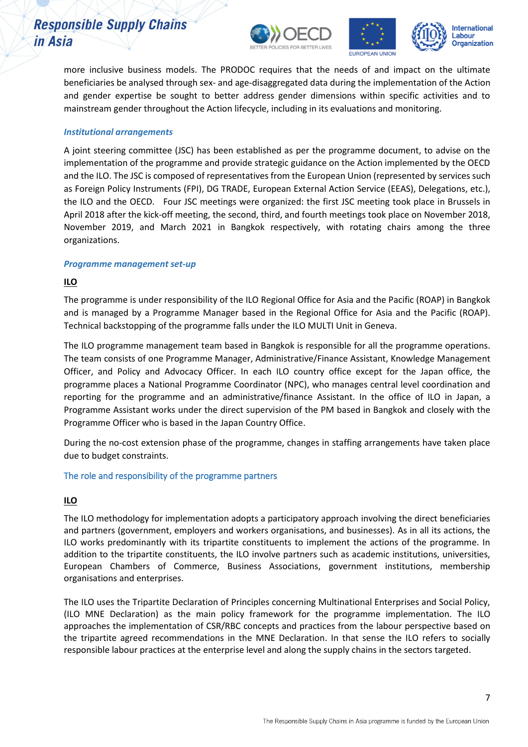





more inclusive business models. The PRODOC requires that the needs of and impact on the ultimate beneficiaries be analysed through sex- and age-disaggregated data during the implementation of the Action and gender expertise be sought to better address gender dimensions within specific activities and to mainstream gender throughout the Action lifecycle, including in its evaluations and monitoring.

#### *Institutional arrangements*

A joint steering committee (JSC) has been established as per the programme document, to advise on the implementation of the programme and provide strategic guidance on the Action implemented by the OECD and the ILO. The JSC is composed of representatives from the European Union (represented by services such as Foreign Policy Instruments (FPI), DG TRADE, European External Action Service (EEAS), Delegations, etc.), the ILO and the OECD. Four JSC meetings were organized: the first JSC meeting took place in Brussels in April 2018 after the kick-off meeting, the second, third, and fourth meetings took place on November 2018, November 2019, and March 2021 in Bangkok respectively, with rotating chairs among the three organizations.

#### *Programme management set-up*

### **ILO**

The programme is under responsibility of the ILO Regional Office for Asia and the Pacific (ROAP) in Bangkok and is managed by a Programme Manager based in the Regional Office for Asia and the Pacific (ROAP). Technical backstopping of the programme falls under the ILO MULTI Unit in Geneva.

The ILO programme management team based in Bangkok is responsible for all the programme operations. The team consists of one Programme Manager, Administrative/Finance Assistant, Knowledge Management Officer, and Policy and Advocacy Officer. In each ILO country office except for the Japan office, the programme places a National Programme Coordinator (NPC), who manages central level coordination and reporting for the programme and an administrative/finance Assistant. In the office of ILO in Japan, a Programme Assistant works under the direct supervision of the PM based in Bangkok and closely with the Programme Officer who is based in the Japan Country Office.

During the no-cost extension phase of the programme, changes in staffing arrangements have taken place due to budget constraints.

### The role and responsibility of the programme partners

### **ILO**

The ILO methodology for implementation adopts a participatory approach involving the direct beneficiaries and partners (government, employers and workers organisations, and businesses). As in all its actions, the ILO works predominantly with its tripartite constituents to implement the actions of the programme. In addition to the tripartite constituents, the ILO involve partners such as academic institutions, universities, European Chambers of Commerce, Business Associations, government institutions, membership organisations and enterprises.

The ILO uses the Tripartite Declaration of Principles concerning Multinational Enterprises and Social Policy, (ILO MNE Declaration) as the main policy framework for the programme implementation. The ILO approaches the implementation of CSR/RBC concepts and practices from the labour perspective based on the tripartite agreed recommendations in the MNE Declaration. In that sense the ILO refers to socially responsible labour practices at the enterprise level and along the supply chains in the sectors targeted.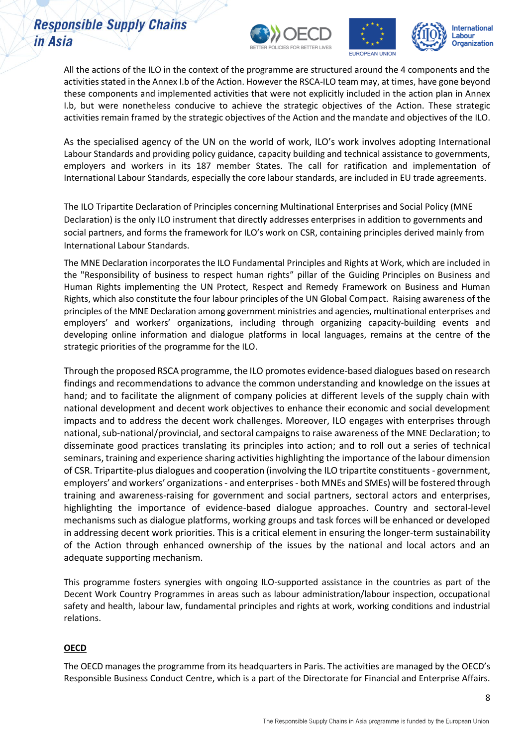





All the actions of the ILO in the context of the programme are structured around the 4 components and the activities stated in the Annex I.b of the Action. However the RSCA-ILO team may, at times, have gone beyond these components and implemented activities that were not explicitly included in the action plan in Annex I.b, but were nonetheless conducive to achieve the strategic objectives of the Action. These strategic activities remain framed by the strategic objectives of the Action and the mandate and objectives of the ILO.

As the specialised agency of the UN on the world of work, ILO's work involves adopting International Labour Standards and providing policy guidance, capacity building and technical assistance to governments, employers and workers in its 187 member States. The call for ratification and implementation of International Labour Standards, especially the core labour standards, are included in EU trade agreements.

The ILO Tripartite Declaration of Principles concerning Multinational Enterprises and Social Policy (MNE Declaration) is the only ILO instrument that directly addresses enterprises in addition to governments and social partners, and forms the framework for ILO's work on CSR, containing principles derived mainly from International Labour Standards.

The MNE Declaration incorporates the ILO Fundamental Principles and Rights at Work, which are included in the "Responsibility of business to respect human rights" pillar of the Guiding Principles on Business and Human Rights implementing the UN Protect, Respect and Remedy Framework on Business and Human Rights, which also constitute the four labour principles of the UN Global Compact. Raising awareness of the principles of the MNE Declaration among government ministries and agencies, multinational enterprises and employers' and workers' organizations, including through organizing capacity-building events and developing online information and dialogue platforms in local languages, remains at the centre of the strategic priorities of the programme for the ILO.

Through the proposed RSCA programme, the ILO promotes evidence-based dialogues based on research findings and recommendations to advance the common understanding and knowledge on the issues at hand; and to facilitate the alignment of company policies at different levels of the supply chain with national development and decent work objectives to enhance their economic and social development impacts and to address the decent work challenges. Moreover, ILO engages with enterprises through national, sub-national/provincial, and sectoral campaigns to raise awareness of the MNE Declaration; to disseminate good practices translating its principles into action; and to roll out a series of technical seminars, training and experience sharing activities highlighting the importance of the labour dimension of CSR. Tripartite-plus dialogues and cooperation (involving the ILO tripartite constituents - government, employers' and workers' organizations - and enterprises - both MNEs and SMEs) will be fostered through training and awareness-raising for government and social partners, sectoral actors and enterprises, highlighting the importance of evidence-based dialogue approaches. Country and sectoral-level mechanisms such as dialogue platforms, working groups and task forces will be enhanced or developed in addressing decent work priorities. This is a critical element in ensuring the longer-term sustainability of the Action through enhanced ownership of the issues by the national and local actors and an adequate supporting mechanism.

This programme fosters synergies with ongoing ILO-supported assistance in the countries as part of the Decent Work Country Programmes in areas such as labour administration/labour inspection, occupational safety and health, labour law, fundamental principles and rights at work, working conditions and industrial relations.

### **OECD**

The OECD manages the programme from its headquarters in Paris. The activities are managed by the OECD's Responsible Business Conduct Centre, which is a part of the Directorate for Financial and Enterprise Affairs.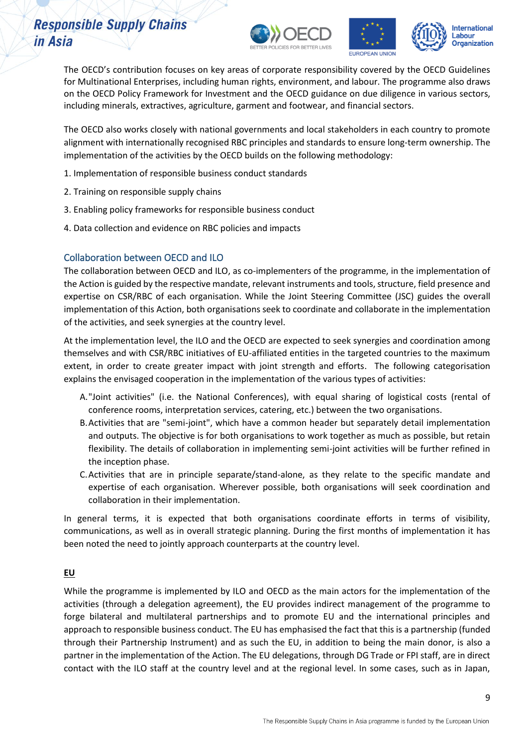





The OECD's contribution focuses on key areas of corporate responsibility covered by the OECD Guidelines for Multinational Enterprises, including human rights, environment, and labour. The programme also draws on the OECD Policy Framework for Investment and the OECD guidance on due diligence in various sectors, including minerals, extractives, agriculture, garment and footwear, and financial sectors.

The OECD also works closely with national governments and local stakeholders in each country to promote alignment with internationally recognised RBC principles and standards to ensure long-term ownership. The implementation of the activities by the OECD builds on the following methodology:

- 1. Implementation of responsible business conduct standards
- 2. Training on responsible supply chains
- 3. Enabling policy frameworks for responsible business conduct
- 4. Data collection and evidence on RBC policies and impacts

### Collaboration between OECD and ILO

The collaboration between OECD and ILO, as co-implementers of the programme, in the implementation of the Action is guided by the respective mandate, relevant instruments and tools, structure, field presence and expertise on CSR/RBC of each organisation. While the Joint Steering Committee (JSC) guides the overall implementation of this Action, both organisations seek to coordinate and collaborate in the implementation of the activities, and seek synergies at the country level.

At the implementation level, the ILO and the OECD are expected to seek synergies and coordination among themselves and with CSR/RBC initiatives of EU-affiliated entities in the targeted countries to the maximum extent, in order to create greater impact with joint strength and efforts. The following categorisation explains the envisaged cooperation in the implementation of the various types of activities:

- A."Joint activities" (i.e. the National Conferences), with equal sharing of logistical costs (rental of conference rooms, interpretation services, catering, etc.) between the two organisations.
- B.Activities that are "semi-joint", which have a common header but separately detail implementation and outputs. The objective is for both organisations to work together as much as possible, but retain flexibility. The details of collaboration in implementing semi-joint activities will be further refined in the inception phase.
- C.Activities that are in principle separate/stand-alone, as they relate to the specific mandate and expertise of each organisation. Wherever possible, both organisations will seek coordination and collaboration in their implementation.

In general terms, it is expected that both organisations coordinate efforts in terms of visibility, communications, as well as in overall strategic planning. During the first months of implementation it has been noted the need to jointly approach counterparts at the country level.

### **EU**

While the programme is implemented by ILO and OECD as the main actors for the implementation of the activities (through a delegation agreement), the EU provides indirect management of the programme to forge bilateral and multilateral partnerships and to promote EU and the international principles and approach to responsible business conduct. The EU has emphasised the fact that this is a partnership (funded through their Partnership Instrument) and as such the EU, in addition to being the main donor, is also a partner in the implementation of the Action. The EU delegations, through DG Trade or FPI staff, are in direct contact with the ILO staff at the country level and at the regional level. In some cases, such as in Japan,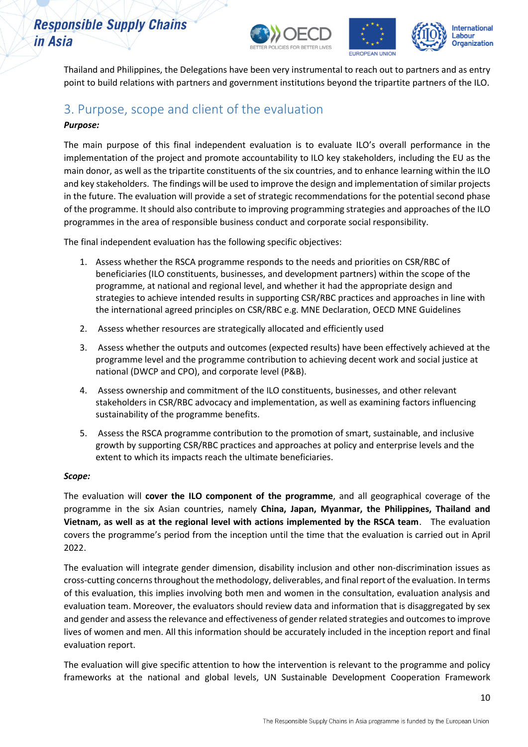





Thailand and Philippines, the Delegations have been very instrumental to reach out to partners and as entry point to build relations with partners and government institutions beyond the tripartite partners of the ILO.

### <span id="page-9-0"></span>3. Purpose, scope and client of the evaluation

### *Purpose:*

The main purpose of this final independent evaluation is to evaluate ILO's overall performance in the implementation of the project and promote accountability to ILO key stakeholders, including the EU as the main donor, as well as the tripartite constituents of the six countries, and to enhance learning within the ILO and key stakeholders. The findings will be used to improve the design and implementation of similar projects in the future. The evaluation will provide a set of strategic recommendations for the potential second phase of the programme. It should also contribute to improving programming strategies and approaches of the ILO programmes in the area of responsible business conduct and corporate social responsibility.

The final independent evaluation has the following specific objectives:

- 1. Assess whether the RSCA programme responds to the needs and priorities on CSR/RBC of beneficiaries (ILO constituents, businesses, and development partners) within the scope of the programme, at national and regional level, and whether it had the appropriate design and strategies to achieve intended results in supporting CSR/RBC practices and approaches in line with the international agreed principles on CSR/RBC e.g. MNE Declaration, OECD MNE Guidelines
- 2. Assess whether resources are strategically allocated and efficiently used
- 3. Assess whether the outputs and outcomes (expected results) have been effectively achieved at the programme level and the programme contribution to achieving decent work and social justice at national (DWCP and CPO), and corporate level (P&B).
- 4. Assess ownership and commitment of the ILO constituents, businesses, and other relevant stakeholders in CSR/RBC advocacy and implementation, as well as examining factors influencing sustainability of the programme benefits.
- 5. Assess the RSCA programme contribution to the promotion of smart, sustainable, and inclusive growth by supporting CSR/RBC practices and approaches at policy and enterprise levels and the extent to which its impacts reach the ultimate beneficiaries.

### *Scope:*

The evaluation will **cover the ILO component of the programme**, and all geographical coverage of the programme in the six Asian countries, namely **China, Japan, Myanmar, the Philippines, Thailand and Vietnam, as well as at the regional level with actions implemented by the RSCA team**. The evaluation covers the programme's period from the inception until the time that the evaluation is carried out in April 2022.

The evaluation will integrate gender dimension, disability inclusion and other non-discrimination issues as cross-cutting concerns throughout the methodology, deliverables, and final report of the evaluation. In terms of this evaluation, this implies involving both men and women in the consultation, evaluation analysis and evaluation team. Moreover, the evaluators should review data and information that is disaggregated by sex and gender and assess the relevance and effectiveness of gender related strategies and outcomes to improve lives of women and men. All this information should be accurately included in the inception report and final evaluation report.

The evaluation will give specific attention to how the intervention is relevant to the programme and policy frameworks at the national and global levels, UN Sustainable Development Cooperation Framework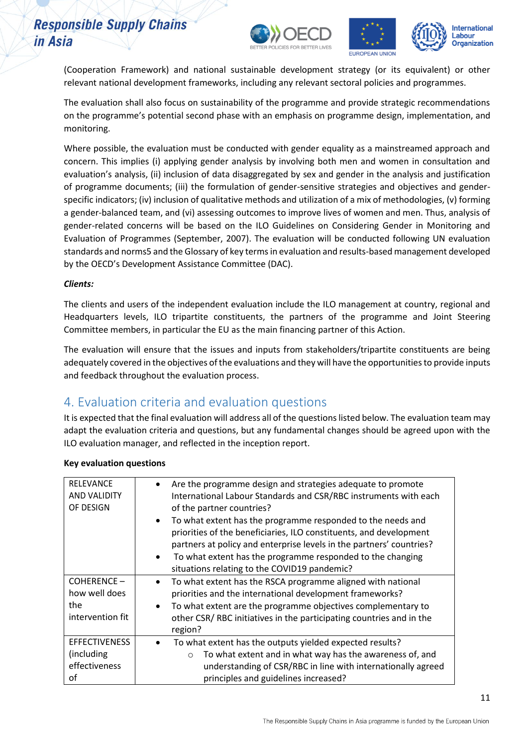





(Cooperation Framework) and national sustainable development strategy (or its equivalent) or other relevant national development frameworks, including any relevant sectoral policies and programmes.

The evaluation shall also focus on sustainability of the programme and provide strategic recommendations on the programme's potential second phase with an emphasis on programme design, implementation, and monitoring.

Where possible, the evaluation must be conducted with gender equality as a mainstreamed approach and concern. This implies (i) applying gender analysis by involving both men and women in consultation and evaluation's analysis, (ii) inclusion of data disaggregated by sex and gender in the analysis and justification of programme documents; (iii) the formulation of gender-sensitive strategies and objectives and genderspecific indicators; (iv) inclusion of qualitative methods and utilization of a mix of methodologies, (v) forming a gender-balanced team, and (vi) assessing outcomes to improve lives of women and men. Thus, analysis of gender-related concerns will be based on the ILO Guidelines on Considering Gender in Monitoring and Evaluation of Programmes (September, 2007). The evaluation will be conducted following UN evaluation standards and norms5 and the Glossary of key terms in evaluation and results-based management developed by the OECD's Development Assistance Committee (DAC).

#### *Clients:*

The clients and users of the independent evaluation include the ILO management at country, regional and Headquarters levels, ILO tripartite constituents, the partners of the programme and Joint Steering Committee members, in particular the EU as the main financing partner of this Action.

The evaluation will ensure that the issues and inputs from stakeholders/tripartite constituents are being adequately covered in the objectives of the evaluations and they will have the opportunities to provide inputs and feedback throughout the evaluation process.

### <span id="page-10-0"></span>4. Evaluation criteria and evaluation questions

It is expected that the final evaluation will address all of the questions listed below. The evaluation team may adapt the evaluation criteria and questions, but any fundamental changes should be agreed upon with the ILO evaluation manager, and reflected in the inception report.

| RELEVANCE<br><b>AND VALIDITY</b><br>OF DESIGN              | Are the programme design and strategies adequate to promote<br>$\bullet$<br>International Labour Standards and CSR/RBC instruments with each<br>of the partner countries?<br>To what extent has the programme responded to the needs and<br>$\bullet$<br>priorities of the beneficiaries, ILO constituents, and development<br>partners at policy and enterprise levels in the partners' countries?<br>To what extent has the programme responded to the changing<br>$\bullet$<br>situations relating to the COVID19 pandemic? |
|------------------------------------------------------------|--------------------------------------------------------------------------------------------------------------------------------------------------------------------------------------------------------------------------------------------------------------------------------------------------------------------------------------------------------------------------------------------------------------------------------------------------------------------------------------------------------------------------------|
| COHERENCE-<br>how well does<br>the<br>intervention fit     | To what extent has the RSCA programme aligned with national<br>$\bullet$<br>priorities and the international development frameworks?<br>To what extent are the programme objectives complementary to<br>$\bullet$<br>other CSR/RBC initiatives in the participating countries and in the<br>region?                                                                                                                                                                                                                            |
| <b>EFFECTIVENESS</b><br>(including)<br>effectiveness<br>οf | To what extent has the outputs yielded expected results?<br>$\bullet$<br>To what extent and in what way has the awareness of, and<br>$\circ$<br>understanding of CSR/RBC in line with internationally agreed<br>principles and guidelines increased?                                                                                                                                                                                                                                                                           |

#### **Key evaluation questions**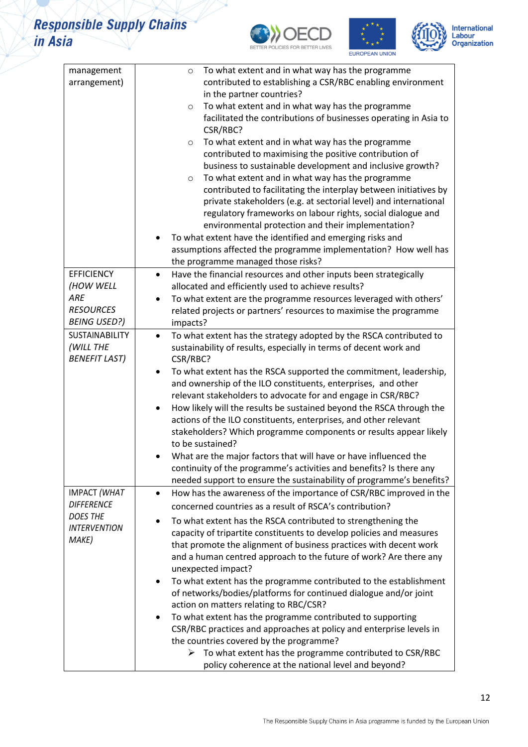

 $\geq$ 





| management            | To what extent and in what way has the programme<br>$\circ$                                                                               |
|-----------------------|-------------------------------------------------------------------------------------------------------------------------------------------|
| arrangement)          | contributed to establishing a CSR/RBC enabling environment                                                                                |
|                       | in the partner countries?                                                                                                                 |
|                       | To what extent and in what way has the programme<br>$\circ$                                                                               |
|                       | facilitated the contributions of businesses operating in Asia to                                                                          |
|                       | CSR/RBC?                                                                                                                                  |
|                       | To what extent and in what way has the programme<br>$\circ$                                                                               |
|                       | contributed to maximising the positive contribution of                                                                                    |
|                       | business to sustainable development and inclusive growth?                                                                                 |
|                       | To what extent and in what way has the programme<br>$\circ$                                                                               |
|                       | contributed to facilitating the interplay between initiatives by                                                                          |
|                       | private stakeholders (e.g. at sectorial level) and international                                                                          |
|                       | regulatory frameworks on labour rights, social dialogue and                                                                               |
|                       | environmental protection and their implementation?                                                                                        |
|                       | To what extent have the identified and emerging risks and                                                                                 |
|                       | assumptions affected the programme implementation? How well has                                                                           |
|                       | the programme managed those risks?                                                                                                        |
| <b>EFFICIENCY</b>     | Have the financial resources and other inputs been strategically<br>$\bullet$                                                             |
| (HOW WELL             | allocated and efficiently used to achieve results?                                                                                        |
| ARE                   | To what extent are the programme resources leveraged with others'<br>$\bullet$                                                            |
| <b>RESOURCES</b>      | related projects or partners' resources to maximise the programme                                                                         |
| <b>BEING USED?)</b>   | impacts?                                                                                                                                  |
| <b>SUSTAINABILITY</b> | To what extent has the strategy adopted by the RSCA contributed to<br>$\bullet$                                                           |
| (WILL THE             | sustainability of results, especially in terms of decent work and                                                                         |
| <b>BENEFIT LAST)</b>  | CSR/RBC?                                                                                                                                  |
|                       | To what extent has the RSCA supported the commitment, leadership,<br>٠                                                                    |
|                       | and ownership of the ILO constituents, enterprises, and other                                                                             |
|                       | relevant stakeholders to advocate for and engage in CSR/RBC?                                                                              |
|                       | How likely will the results be sustained beyond the RSCA through the<br>actions of the ILO constituents, enterprises, and other relevant  |
|                       | stakeholders? Which programme components or results appear likely                                                                         |
|                       | to be sustained?                                                                                                                          |
|                       | What are the major factors that will have or have influenced the                                                                          |
|                       | continuity of the programme's activities and benefits? Is there any                                                                       |
|                       | needed support to ensure the sustainability of programme's benefits?                                                                      |
| <b>IMPACT (WHAT</b>   | How has the awareness of the importance of CSR/RBC improved in the<br>$\bullet$                                                           |
| <b>DIFFERENCE</b>     | concerned countries as a result of RSCA's contribution?                                                                                   |
| <b>DOES THE</b>       |                                                                                                                                           |
| <b>INTERVENTION</b>   | To what extent has the RSCA contributed to strengthening the                                                                              |
| MAKE)                 | capacity of tripartite constituents to develop policies and measures<br>that promote the alignment of business practices with decent work |
|                       |                                                                                                                                           |
|                       | and a human centred approach to the future of work? Are there any<br>unexpected impact?                                                   |
|                       | To what extent has the programme contributed to the establishment                                                                         |
|                       | of networks/bodies/platforms for continued dialogue and/or joint                                                                          |
|                       | action on matters relating to RBC/CSR?                                                                                                    |
|                       | To what extent has the programme contributed to supporting<br>٠                                                                           |
|                       | CSR/RBC practices and approaches at policy and enterprise levels in                                                                       |
|                       | the countries covered by the programme?                                                                                                   |
|                       | To what extent has the programme contributed to CSR/RBC<br>➤                                                                              |
|                       | policy coherence at the national level and beyond?                                                                                        |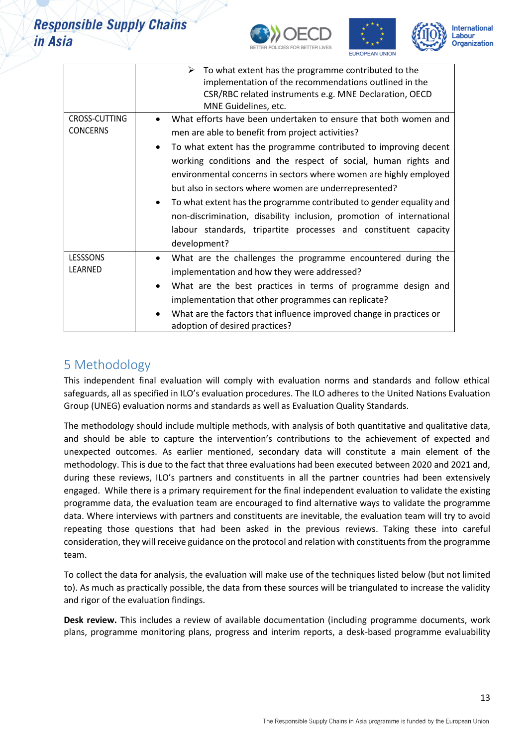





|                                  | To what extent has the programme contributed to the<br>➤<br>implementation of the recommendations outlined in the<br>CSR/RBC related instruments e.g. MNE Declaration, OECD<br>MNE Guidelines, etc.                                                                                                                                                                                                                                                                                                                          |  |  |  |  |  |
|----------------------------------|------------------------------------------------------------------------------------------------------------------------------------------------------------------------------------------------------------------------------------------------------------------------------------------------------------------------------------------------------------------------------------------------------------------------------------------------------------------------------------------------------------------------------|--|--|--|--|--|
| CROSS-CUTTING<br><b>CONCERNS</b> | What efforts have been undertaken to ensure that both women and<br>men are able to benefit from project activities?                                                                                                                                                                                                                                                                                                                                                                                                          |  |  |  |  |  |
|                                  | To what extent has the programme contributed to improving decent<br>$\bullet$<br>working conditions and the respect of social, human rights and<br>environmental concerns in sectors where women are highly employed<br>but also in sectors where women are underrepresented?<br>To what extent has the programme contributed to gender equality and<br>$\bullet$<br>non-discrimination, disability inclusion, promotion of international<br>labour standards, tripartite processes and constituent capacity<br>development? |  |  |  |  |  |
| LESSSONS<br>LEARNED              | What are the challenges the programme encountered during the<br>implementation and how they were addressed?                                                                                                                                                                                                                                                                                                                                                                                                                  |  |  |  |  |  |
|                                  | What are the best practices in terms of programme design and<br>implementation that other programmes can replicate?                                                                                                                                                                                                                                                                                                                                                                                                          |  |  |  |  |  |
|                                  | What are the factors that influence improved change in practices or<br>adoption of desired practices?                                                                                                                                                                                                                                                                                                                                                                                                                        |  |  |  |  |  |

## <span id="page-12-0"></span>5 Methodology

This independent final evaluation will comply with evaluation norms and standards and follow ethical safeguards, all as specified in ILO's evaluation procedures. The ILO adheres to the United Nations Evaluation Group (UNEG) evaluation norms and standards as well as Evaluation Quality Standards.

The methodology should include multiple methods, with analysis of both quantitative and qualitative data, and should be able to capture the intervention's contributions to the achievement of expected and unexpected outcomes. As earlier mentioned, secondary data will constitute a main element of the methodology. This is due to the fact that three evaluations had been executed between 2020 and 2021 and, during these reviews, ILO's partners and constituents in all the partner countries had been extensively engaged. While there is a primary requirement for the final independent evaluation to validate the existing programme data, the evaluation team are encouraged to find alternative ways to validate the programme data. Where interviews with partners and constituents are inevitable, the evaluation team will try to avoid repeating those questions that had been asked in the previous reviews. Taking these into careful consideration, they will receive guidance on the protocol and relation with constituentsfrom the programme team.

To collect the data for analysis, the evaluation will make use of the techniques listed below (but not limited to). As much as practically possible, the data from these sources will be triangulated to increase the validity and rigor of the evaluation findings.

**Desk review.** This includes a review of available documentation (including programme documents, work plans, programme monitoring plans, progress and interim reports, a desk-based programme evaluability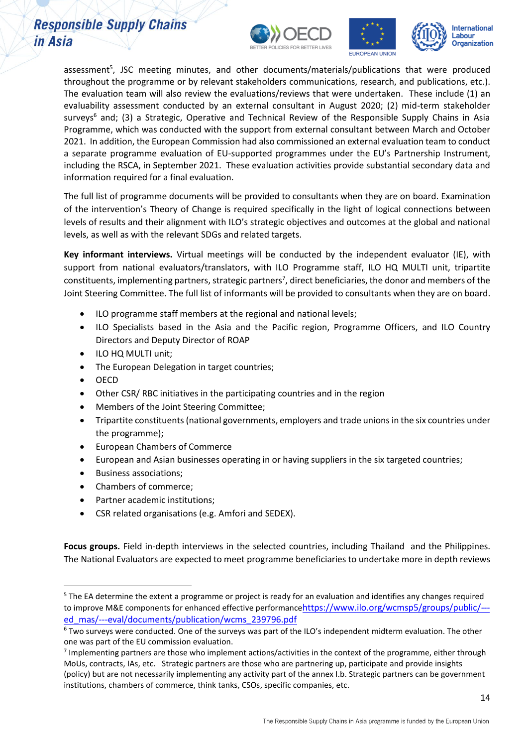





assessment<sup>5</sup>, JSC meeting minutes, and other documents/materials/publications that were produced throughout the programme or by relevant stakeholders communications, research, and publications, etc.). The evaluation team will also review the evaluations/reviews that were undertaken. These include (1) an evaluability assessment conducted by an external consultant in August 2020; (2) mid-term stakeholder surveys<sup>6</sup> and; (3) a Strategic, Operative and Technical Review of the Responsible Supply Chains in Asia Programme, which was conducted with the support from external consultant between March and October 2021. In addition, the European Commission had also commissioned an external evaluation team to conduct a separate programme evaluation of EU-supported programmes under the EU's Partnership Instrument, including the RSCA, in September 2021. These evaluation activities provide substantial secondary data and information required for a final evaluation.

The full list of programme documents will be provided to consultants when they are on board. Examination of the intervention's Theory of Change is required specifically in the light of logical connections between levels of results and their alignment with ILO's strategic objectives and outcomes at the global and national levels, as well as with the relevant SDGs and related targets.

**Key informant interviews.** Virtual meetings will be conducted by the independent evaluator (IE), with support from national evaluators/translators, with ILO Programme staff, ILO HQ MULTI unit, tripartite constituents, implementing partners, strategic partners<sup>7</sup>, direct beneficiaries, the donor and members of the Joint Steering Committee. The full list of informants will be provided to consultants when they are on board.

- ILO programme staff members at the regional and national levels;
- ILO Specialists based in the Asia and the Pacific region, Programme Officers, and ILO Country Directors and Deputy Director of ROAP
- ILO HQ MULTI unit;
- The European Delegation in target countries;
- OECD
- Other CSR/ RBC initiatives in the participating countries and in the region
- Members of the Joint Steering Committee;
- Tripartite constituents(national governments, employers and trade unions in the six countries under the programme);
- European Chambers of Commerce
- European and Asian businesses operating in or having suppliers in the six targeted countries;
- Business associations;
- Chambers of commerce;
- Partner academic institutions;
- CSR related organisations (e.g. Amfori and SEDEX).

**Focus groups.** Field in-depth interviews in the selected countries, including Thailand and the Philippines. The National Evaluators are expected to meet programme beneficiaries to undertake more in depth reviews

<sup>&</sup>lt;sup>5</sup> The EA determine the extent a programme or project is ready for an evaluation and identifies any changes required to improve M&E components for enhanced effective performance[https://www.ilo.org/wcmsp5/groups/public/--](https://www.ilo.org/wcmsp5/groups/public/---ed_mas/---eval/documents/publication/wcms_239796.pdf) [ed\\_mas/---eval/documents/publication/wcms\\_239796.pdf](https://www.ilo.org/wcmsp5/groups/public/---ed_mas/---eval/documents/publication/wcms_239796.pdf)

<sup>6</sup> Two surveys were conducted. One of the surveys was part of the ILO's independent midterm evaluation. The other one was part of the EU commission evaluation.

<sup>&</sup>lt;sup>7</sup> Implementing partners are those who implement actions/activities in the context of the programme, either through MoUs, contracts, IAs, etc. Strategic partners are those who are partnering up, participate and provide insights (policy) but are not necessarily implementing any activity part of the annex I.b. Strategic partners can be government institutions, chambers of commerce, think tanks, CSOs, specific companies, etc.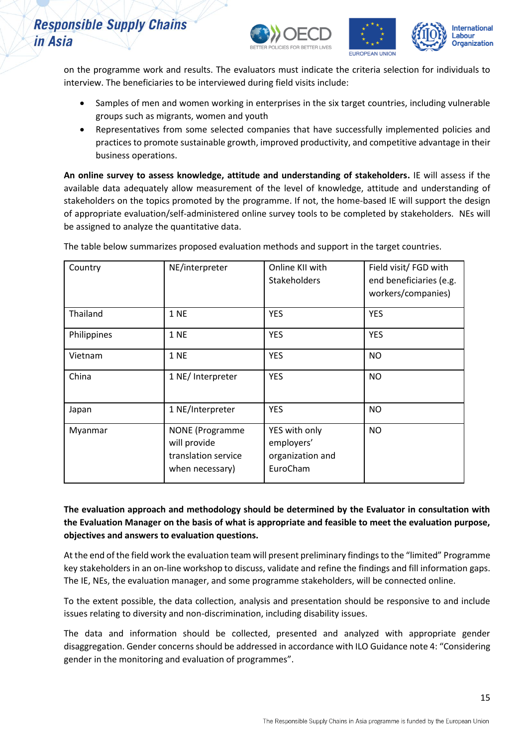





on the programme work and results. The evaluators must indicate the criteria selection for individuals to interview. The beneficiaries to be interviewed during field visits include:

- Samples of men and women working in enterprises in the six target countries, including vulnerable groups such as migrants, women and youth
- Representatives from some selected companies that have successfully implemented policies and practices to promote sustainable growth, improved productivity, and competitive advantage in their business operations.

**An online survey to assess knowledge, attitude and understanding of stakeholders.** IE will assess if the available data adequately allow measurement of the level of knowledge, attitude and understanding of stakeholders on the topics promoted by the programme. If not, the home-based IE will support the design of appropriate evaluation/self-administered online survey tools to be completed by stakeholders. NEs will be assigned to analyze the quantitative data.

| Country     | NE/interpreter                                                                   | Online KII with<br>Stakeholders                             | Field visit/ FGD with<br>end beneficiaries (e.g.<br>workers/companies) |
|-------------|----------------------------------------------------------------------------------|-------------------------------------------------------------|------------------------------------------------------------------------|
| Thailand    | <b>1 NE</b>                                                                      | <b>YES</b>                                                  | <b>YES</b>                                                             |
| Philippines | <b>1 NE</b>                                                                      | <b>YES</b>                                                  | <b>YES</b>                                                             |
| Vietnam     | <b>1 NE</b>                                                                      | <b>YES</b>                                                  | <b>NO</b>                                                              |
| China       | 1 NE/ Interpreter                                                                | <b>YES</b>                                                  | <b>NO</b>                                                              |
| Japan       | 1 NE/Interpreter                                                                 | <b>YES</b>                                                  | <b>NO</b>                                                              |
| Myanmar     | <b>NONE</b> (Programme<br>will provide<br>translation service<br>when necessary) | YES with only<br>employers'<br>organization and<br>EuroCham | <b>NO</b>                                                              |

The table below summarizes proposed evaluation methods and support in the target countries.

**The evaluation approach and methodology should be determined by the Evaluator in consultation with the Evaluation Manager on the basis of what is appropriate and feasible to meet the evaluation purpose, objectives and answers to evaluation questions.**

At the end of the field work the evaluation team will present preliminary findings to the "limited" Programme key stakeholders in an on-line workshop to discuss, validate and refine the findings and fill information gaps. The IE, NEs, the evaluation manager, and some programme stakeholders, will be connected online.

To the extent possible, the data collection, analysis and presentation should be responsive to and include issues relating to diversity and non-discrimination, including disability issues.

The data and information should be collected, presented and analyzed with appropriate gender disaggregation. Gender concerns should be addressed in accordance with ILO Guidance note 4: "Considering gender in the monitoring and evaluation of programmes".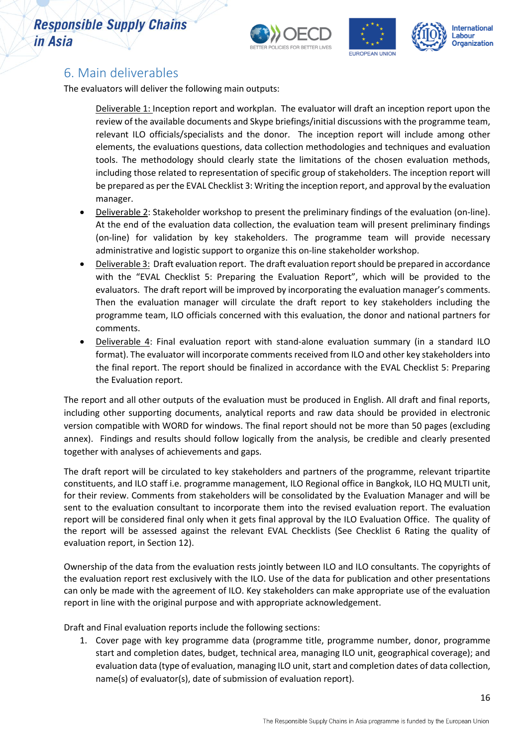



### <span id="page-15-0"></span>6. Main deliverables

The evaluators will deliver the following main outputs:

Deliverable 1: Inception report and workplan. The evaluator will draft an inception report upon the review of the available documents and Skype briefings/initial discussions with the programme team, relevant ILO officials/specialists and the donor. The inception report will include among other elements, the evaluations questions, data collection methodologies and techniques and evaluation tools. The methodology should clearly state the limitations of the chosen evaluation methods, including those related to representation of specific group of stakeholders. The inception report will be prepared as per the EVAL Checklist 3: Writing the inception report, and approval by the evaluation manager.

- Deliverable 2: Stakeholder workshop to present the preliminary findings of the evaluation (on-line). At the end of the evaluation data collection, the evaluation team will present preliminary findings (on-line) for validation by key stakeholders. The programme team will provide necessary administrative and logistic support to organize this on-line stakeholder workshop.
- Deliverable 3: Draft evaluation report. The draft evaluation report should be prepared in accordance with the "EVAL Checklist 5: Preparing the Evaluation Report", which will be provided to the evaluators. The draft report will be improved by incorporating the evaluation manager's comments. Then the evaluation manager will circulate the draft report to key stakeholders including the programme team, ILO officials concerned with this evaluation, the donor and national partners for comments.
- Deliverable 4: Final evaluation report with stand-alone evaluation summary (in a standard ILO format). The evaluator will incorporate comments received from ILO and other key stakeholders into the final report. The report should be finalized in accordance with the EVAL Checklist 5: Preparing the Evaluation report.

The report and all other outputs of the evaluation must be produced in English. All draft and final reports, including other supporting documents, analytical reports and raw data should be provided in electronic version compatible with WORD for windows. The final report should not be more than 50 pages (excluding annex). Findings and results should follow logically from the analysis, be credible and clearly presented together with analyses of achievements and gaps.

The draft report will be circulated to key stakeholders and partners of the programme, relevant tripartite constituents, and ILO staff i.e. programme management, ILO Regional office in Bangkok, ILO HQ MULTI unit, for their review. Comments from stakeholders will be consolidated by the Evaluation Manager and will be sent to the evaluation consultant to incorporate them into the revised evaluation report. The evaluation report will be considered final only when it gets final approval by the ILO Evaluation Office. The quality of the report will be assessed against the relevant EVAL Checklists (See Checklist 6 Rating the quality of evaluation report, in Section 12).

Ownership of the data from the evaluation rests jointly between ILO and ILO consultants. The copyrights of the evaluation report rest exclusively with the ILO. Use of the data for publication and other presentations can only be made with the agreement of ILO. Key stakeholders can make appropriate use of the evaluation report in line with the original purpose and with appropriate acknowledgement.

Draft and Final evaluation reports include the following sections:

1. Cover page with key programme data (programme title, programme number, donor, programme start and completion dates, budget, technical area, managing ILO unit, geographical coverage); and evaluation data (type of evaluation, managing ILO unit, start and completion dates of data collection, name(s) of evaluator(s), date of submission of evaluation report).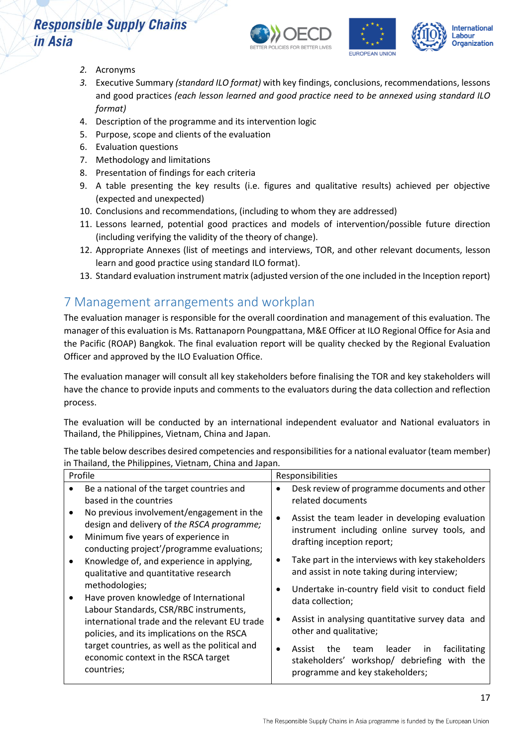



- *2.* Acronyms
- *3.* Executive Summary *(standard ILO format)* with key findings, conclusions, recommendations, lessons and good practices *(each lesson learned and good practice need to be annexed using standard ILO format)*
- 4. Description of the programme and its intervention logic
- 5. Purpose, scope and clients of the evaluation
- 6. Evaluation questions
- 7. Methodology and limitations
- 8. Presentation of findings for each criteria
- 9. A table presenting the key results (i.e. figures and qualitative results) achieved per objective (expected and unexpected)
- 10. Conclusions and recommendations, (including to whom they are addressed)
- 11. Lessons learned, potential good practices and models of intervention/possible future direction (including verifying the validity of the theory of change).
- 12. Appropriate Annexes (list of meetings and interviews, TOR, and other relevant documents, lesson learn and good practice using standard ILO format).
- 13. Standard evaluation instrument matrix (adjusted version of the one included in the Inception report)

## <span id="page-16-0"></span>7 Management arrangements and workplan

The evaluation manager is responsible for the overall coordination and management of this evaluation. The manager of this evaluation is Ms. Rattanaporn Poungpattana, M&E Officer at ILO Regional Office for Asia and the Pacific (ROAP) Bangkok. The final evaluation report will be quality checked by the Regional Evaluation Officer and approved by the ILO Evaluation Office.

The evaluation manager will consult all key stakeholders before finalising the TOR and key stakeholders will have the chance to provide inputs and comments to the evaluators during the data collection and reflection process.

The evaluation will be conducted by an international independent evaluator and National evaluators in Thailand, the Philippines, Vietnam, China and Japan.

The table below describes desired competencies and responsibilities for a national evaluator (team member) in Thailand, the Philippines, Vietnam, China and Japan.

| Profile                                                                                             | Responsibilities        |                                                                                                                  |  |
|-----------------------------------------------------------------------------------------------------|-------------------------|------------------------------------------------------------------------------------------------------------------|--|
| Be a national of the target countries and<br>based in the countries                                 | related documents       | Desk review of programme documents and other                                                                     |  |
| No previous involvement/engagement in the<br>design and delivery of the RSCA programme;             |                         | Assist the team leader in developing evaluation<br>instrument including online survey tools, and                 |  |
| Minimum five years of experience in<br>conducting project'/programme evaluations;                   |                         | drafting inception report;                                                                                       |  |
| Knowledge of, and experience in applying,<br>qualitative and quantitative research                  |                         | Take part in the interviews with key stakeholders<br>and assist in note taking during interview;                 |  |
| methodologies;<br>Have proven knowledge of International<br>Labour Standards, CSR/RBC instruments,  | data collection;        | Undertake in-country field visit to conduct field                                                                |  |
| international trade and the relevant EU trade<br>policies, and its implications on the RSCA         |                         | Assist in analysing quantitative survey data and<br>other and qualitative;                                       |  |
| target countries, as well as the political and<br>economic context in the RSCA target<br>countries; | Assist<br>stakeholders' | facilitating<br>the<br>leader<br>team<br>in.<br>workshop/ debriefing with the<br>programme and key stakeholders; |  |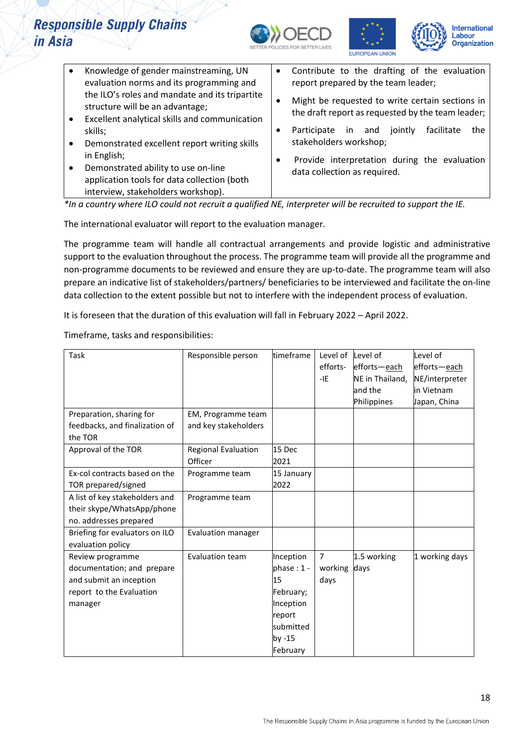





| Knowledge of gender mainstreaming, UN<br>evaluation norms and its programming and                        | $\bullet$ | Contribute to the drafting of the evaluation<br>report prepared by the team leader;                  |
|----------------------------------------------------------------------------------------------------------|-----------|------------------------------------------------------------------------------------------------------|
| the ILO's roles and mandate and its tripartite<br>structure will be an advantage;                        | ٠         | Might be requested to write certain sections in<br>the draft report as requested by the team leader; |
| Excellent analytical skills and communication<br>skills;<br>Demonstrated excellent report writing skills | ٠         | Participate<br>facilitate<br>jointly<br>the<br>in and<br>stakeholders workshop;                      |
| in English;<br>Demonstrated ability to use on-line                                                       | ٠         | Provide interpretation during the evaluation<br>data collection as required.                         |
| application tools for data collection (both<br>interview, stakeholders workshop).                        |           |                                                                                                      |

*\*In a country where ILO could not recruit a qualified NE, interpreter will be recruited to support the IE.*

The international evaluator will report to the evaluation manager.

The programme team will handle all contractual arrangements and provide logistic and administrative support to the evaluation throughout the process. The programme team will provide all the programme and non-programme documents to be reviewed and ensure they are up-to-date. The programme team will also prepare an indicative list of stakeholders/partners/ beneficiaries to be interviewed and facilitate the on-line data collection to the extent possible but not to interfere with the independent process of evaluation.

It is foreseen that the duration of this evaluation will fall in February 2022 – April 2022.

Timeframe, tasks and responsibilities:

| Task                           | Responsible person   | timeframe    | Level of       | Level of        | Level of       |
|--------------------------------|----------------------|--------------|----------------|-----------------|----------------|
|                                |                      |              | efforts-       | efforts-each    | efforts-each   |
|                                |                      |              | $-IE$          | NE in Thailand, | NE/interpreter |
|                                |                      |              |                | and the         | in Vietnam     |
|                                |                      |              |                | Philippines     | Japan, China   |
| Preparation, sharing for       | EM, Programme team   |              |                |                 |                |
| feedbacks, and finalization of | and key stakeholders |              |                |                 |                |
| the TOR                        |                      |              |                |                 |                |
| Approval of the TOR            | Regional Evaluation  | 15 Dec       |                |                 |                |
|                                | Officer              | 2021         |                |                 |                |
| Ex-col contracts based on the  | Programme team       | 15 January   |                |                 |                |
| TOR prepared/signed            |                      | 2022         |                |                 |                |
| A list of key stakeholders and | Programme team       |              |                |                 |                |
| their skype/WhatsApp/phone     |                      |              |                |                 |                |
| no. addresses prepared         |                      |              |                |                 |                |
| Briefing for evaluators on ILO | Evaluation manager   |              |                |                 |                |
| evaluation policy              |                      |              |                |                 |                |
| Review programme               | Evaluation team      | Inception    | $\overline{7}$ | 1.5 working     | 1 working days |
| documentation; and prepare     |                      | phase: $1 -$ | working        | days            |                |
| and submit an inception        |                      | 15           | days           |                 |                |
| report to the Evaluation       |                      | February;    |                |                 |                |
| manager                        |                      | Inception    |                |                 |                |
|                                |                      | report       |                |                 |                |
|                                |                      | submitted    |                |                 |                |
|                                |                      | by -15       |                |                 |                |
|                                |                      | February     |                |                 |                |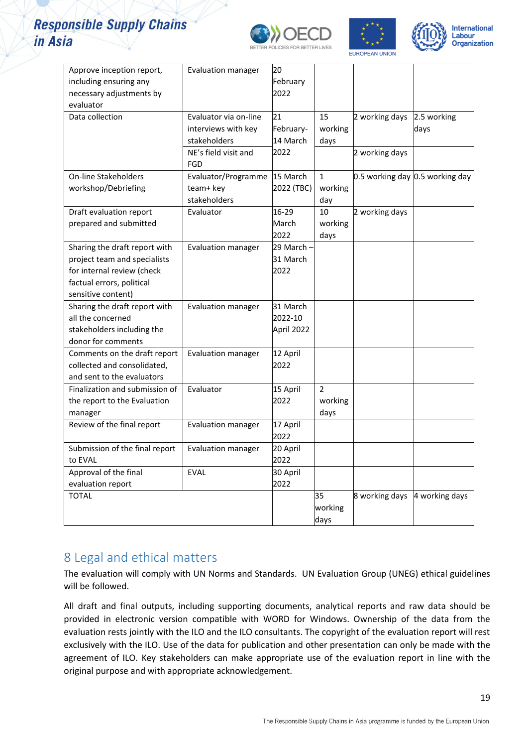





| Approve inception report,<br>including ensuring any | <b>Evaluation manager</b>    | 20<br>February |                |                |                                 |
|-----------------------------------------------------|------------------------------|----------------|----------------|----------------|---------------------------------|
| necessary adjustments by                            |                              | 2022           |                |                |                                 |
| evaluator                                           |                              |                |                |                |                                 |
| Data collection                                     | Evaluator via on-line        | 21             | 15             | 2 working days | 2.5 working                     |
|                                                     | interviews with key          | February-      | working        |                | days                            |
|                                                     | stakeholders                 | 14 March       | days           |                |                                 |
|                                                     | NE's field visit and         | 2022           |                | 2 working days |                                 |
|                                                     | FGD                          |                |                |                |                                 |
| <b>On-line Stakeholders</b>                         | Evaluator/Programme 15 March |                | $\mathbf{1}$   |                | 0.5 working day 0.5 working day |
| workshop/Debriefing                                 | team+ key                    | 2022 (TBC)     | working        |                |                                 |
|                                                     | stakeholders                 |                | day            |                |                                 |
| Draft evaluation report                             | Evaluator                    | 16-29          | 10             | 2 working days |                                 |
| prepared and submitted                              |                              | March          | working        |                |                                 |
|                                                     |                              | 2022           | days           |                |                                 |
| Sharing the draft report with                       | <b>Evaluation manager</b>    | 29 March -     |                |                |                                 |
| project team and specialists                        |                              | 31 March       |                |                |                                 |
| for internal review (check                          |                              | 2022           |                |                |                                 |
| factual errors, political                           |                              |                |                |                |                                 |
| sensitive content)                                  |                              |                |                |                |                                 |
| Sharing the draft report with                       | <b>Evaluation manager</b>    | 31 March       |                |                |                                 |
| all the concerned                                   |                              | 2022-10        |                |                |                                 |
| stakeholders including the                          |                              | April 2022     |                |                |                                 |
| donor for comments                                  |                              |                |                |                |                                 |
| Comments on the draft report                        | <b>Evaluation manager</b>    | 12 April       |                |                |                                 |
| collected and consolidated,                         |                              | 2022           |                |                |                                 |
| and sent to the evaluators                          |                              |                |                |                |                                 |
| Finalization and submission of                      | Evaluator                    | 15 April       | $\overline{2}$ |                |                                 |
| the report to the Evaluation                        |                              | 2022           | working        |                |                                 |
| manager                                             |                              |                | days           |                |                                 |
| Review of the final report                          | <b>Evaluation manager</b>    | 17 April       |                |                |                                 |
|                                                     |                              | 2022           |                |                |                                 |
| Submission of the final report                      | <b>Evaluation manager</b>    | 20 April       |                |                |                                 |
| to EVAL                                             |                              | 2022           |                |                |                                 |
| Approval of the final                               | <b>EVAL</b>                  | 30 April       |                |                |                                 |
| evaluation report                                   |                              | 2022           |                |                |                                 |
| <b>TOTAL</b>                                        |                              |                | 35             | 8 working days | 4 working days                  |
|                                                     |                              |                | working        |                |                                 |
|                                                     |                              |                | days           |                |                                 |
|                                                     |                              |                |                |                |                                 |

### <span id="page-18-0"></span>8 Legal and ethical matters

The evaluation will comply with UN Norms and Standards. UN Evaluation Group (UNEG) ethical guidelines will be followed.

All draft and final outputs, including supporting documents, analytical reports and raw data should be provided in electronic version compatible with WORD for Windows. Ownership of the data from the evaluation rests jointly with the ILO and the ILO consultants. The copyright of the evaluation report will rest exclusively with the ILO. Use of the data for publication and other presentation can only be made with the agreement of ILO. Key stakeholders can make appropriate use of the evaluation report in line with the original purpose and with appropriate acknowledgement.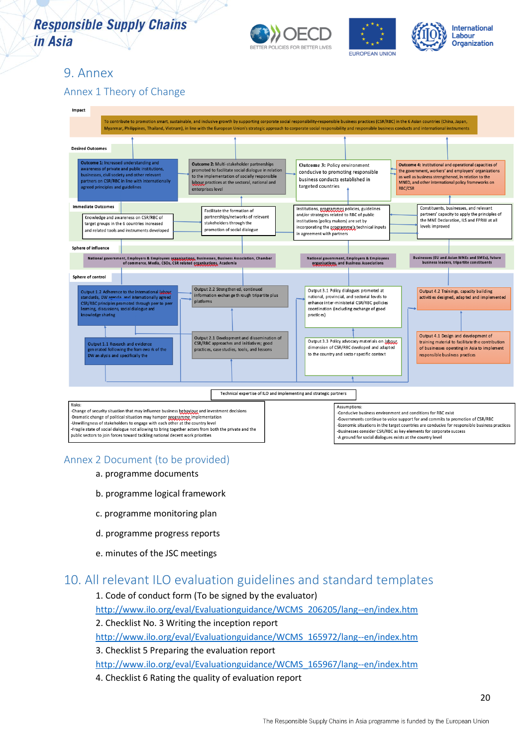

### <span id="page-19-0"></span>9. Annex

### Annex 1 Theory of Change



### Annex 2 Document (to be provided)

- a. programme documents
- b. programme logical framework
- c. programme monitoring plan
- d. programme progress reports
- e. minutes of the JSC meetings

### <span id="page-19-1"></span>10. All relevant ILO evaluation guidelines and standard templates

1. Code of conduct form (To be signed by the evaluator) [http://www.ilo.org/eval/Evaluationguidance/WCMS\\_206205/lang--en/index.htm](http://www.ilo.org/eval/Evaluationguidance/WCMS_206205/lang--en/index.htm) 2. Checklist No. 3 Writing the inception report [http://www.ilo.org/eval/Evaluationguidance/WCMS\\_165972/lang--en/index.htm](http://www.ilo.org/eval/Evaluationguidance/WCMS_165972/lang--en/index.htm) 3. Checklist 5 Preparing the evaluation report [http://www.ilo.org/eval/Evaluationguidance/WCMS\\_165967/lang--en/index.htm](http://www.ilo.org/eval/Evaluationguidance/WCMS_165967/lang--en/index.htm)

4. Checklist 6 Rating the quality of evaluation report